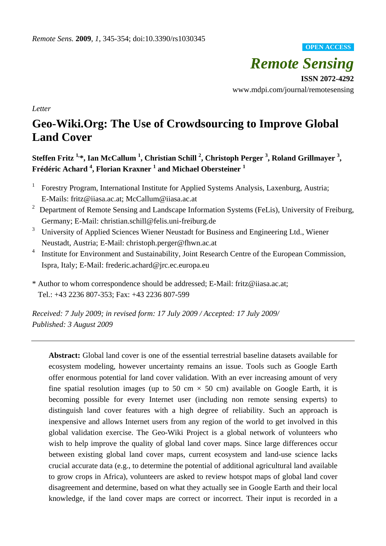*Remote Sensing*  **ISSN 2072-4292**  www.mdpi.com/journal/remotesensing **OPEN ACCESS**

*Letter* 

# **Geo-Wiki.Org: The Use of Crowdsourcing to Improve Global Land Cover**

**Steffen Fritz 1,\*, Ian McCallum 1 , Christian Schill <sup>2</sup> , Christoph Perger <sup>3</sup> , Roland Grillmayer 3 , Frédéric Achard 4 , Florian Kraxner 1 and Michael Obersteiner 1**

- 1 Forestry Program, International Institute for Applied Systems Analysis, Laxenburg, Austria; E-Mails: fritz@iiasa.ac.at; McCallum@iiasa.ac.at
- 2 Department of Remote Sensing and Landscape Information Systems (FeLis), University of Freiburg, Germany; E-Mail: christian.schill@felis.uni-freiburg.de
- <sup>3</sup> University of Applied Sciences Wiener Neustadt for Business and Engineering Ltd., Wiener Neustadt, Austria; E-Mail: christoph.perger@fhwn.ac.at
- 4 Institute for Environment and Sustainability, Joint Research Centre of the European Commission, Ispra, Italy; E-Mail: frederic.achard@jrc.ec.europa.eu
- \* Author to whom correspondence should be addressed; E-Mail: fritz@iiasa.ac.at; Tel.: +43 2236 807-353; Fax: +43 2236 807-599

*Received: 7 July 2009; in revised form: 17 July 2009 / Accepted: 17 July 2009/ Published: 3 August 2009* 

**Abstract:** Global land cover is one of the essential terrestrial baseline datasets available for ecosystem modeling, however uncertainty remains an issue. Tools such as Google Earth offer enormous potential for land cover validation. With an ever increasing amount of very fine spatial resolution images (up to 50 cm  $\times$  50 cm) available on Google Earth, it is becoming possible for every Internet user (including non remote sensing experts) to distinguish land cover features with a high degree of reliability. Such an approach is inexpensive and allows Internet users from any region of the world to get involved in this global validation exercise. The Geo-Wiki Project is a global network of volunteers who wish to help improve the quality of global land cover maps. Since large differences occur between existing global land cover maps, current ecosystem and land-use science lacks crucial accurate data (e.g., to determine the potential of additional agricultural land available to grow crops in Africa), volunteers are asked to review hotspot maps of global land cover disagreement and determine, based on what they actually see in Google Earth and their local knowledge, if the land cover maps are correct or incorrect. Their input is recorded in a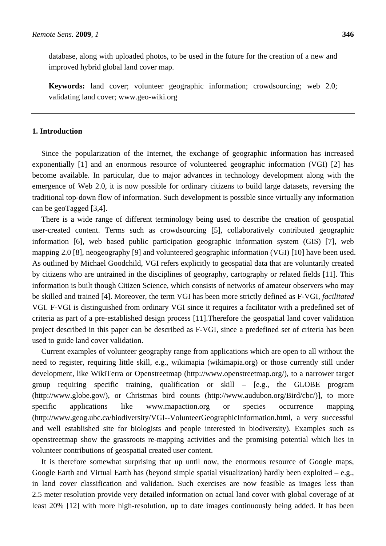**Keywords:** land cover; volunteer geographic information; crowdsourcing; web 2.0; validating land cover; www.geo-wiki.org

#### **1. Introduction**

Since the popularization of the Internet, the exchange of geographic information has increased exponentially [1] and an enormous resource of volunteered geographic information (VGI) [2] has become available. In particular, due to major advances in technology development along with the emergence of Web 2.0, it is now possible for ordinary citizens to build large datasets, reversing the traditional top-down flow of information. Such development is possible since virtually any information can be geoTagged [3,4].

There is a wide range of different terminology being used to describe the creation of geospatial user-created content. Terms such as crowdsourcing [5], collaboratively contributed geographic information [6], web based public participation geographic information system (GIS) [7], web mapping 2.0 [8], neogeography [9] and volunteered geographic information (VGI) [10] have been used. As outlined by Michael Goodchild, VGI refers explicitly to geospatial data that are voluntarily created by citizens who are untrained in the disciplines of geography, cartography or related fields [11]. This information is built though Citizen Science, which consists of networks of amateur observers who may be skilled and trained [4]. Moreover, the term VGI has been more strictly defined as F-VGI, *facilitated* VGI. F-VGI is distinguished from ordinary VGI since it requires a facilitator with a predefined set of criteria as part of a pre-established design process [11].Therefore the geospatial land cover validation project described in this paper can be described as F-VGI, since a predefined set of criteria has been used to guide land cover validation.

Current examples of volunteer geography range from applications which are open to all without the need to register, requiring little skill, e.g., wikimapia (wikimapia.org) or those currently still under development, like WikiTerra or Openstreetmap (http://www.openstreetmap.org/), to a narrower target group requiring specific training, qualification or skill – [e.g., the GLOBE program (http://www.globe.gov/), or Christmas bird counts (http://www.audubon.org/Bird/cbc/)], to more specific applications like www.mapaction.org or species occurrence mapping (http://www.geog.ubc.ca/biodiversity/VGI--VolunteerGeographicInformation.html, a very successful and well established site for biologists and people interested in biodiversity). Examples such as openstreetmap show the grassroots re-mapping activities and the promising potential which lies in volunteer contributions of geospatial created user content.

It is therefore somewhat surprising that up until now, the enormous resource of Google maps, Google Earth and Virtual Earth has (beyond simple spatial visualization) hardly been exploited  $-e.g.,$ in land cover classification and validation. Such exercises are now feasible as images less than 2.5 meter resolution provide very detailed information on actual land cover with global coverage of at least 20% [12] with more high-resolution, up to date images continuously being added. It has been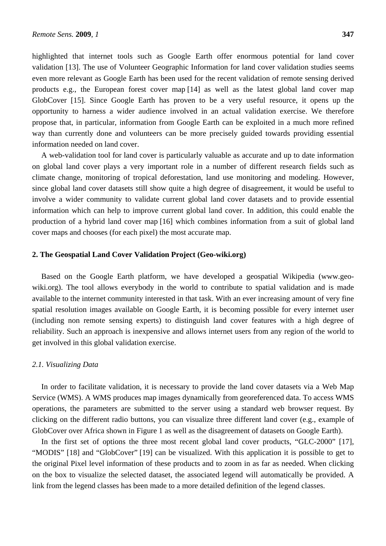highlighted that internet tools such as Google Earth offer enormous potential for land cover validation [13]. The use of Volunteer Geographic Information for land cover validation studies seems even more relevant as Google Earth has been used for the recent validation of remote sensing derived products e.g., the European forest cover map [14] as well as the latest global land cover map GlobCover [15]. Since Google Earth has proven to be a very useful resource, it opens up the opportunity to harness a wider audience involved in an actual validation exercise. We therefore propose that, in particular, information from Google Earth can be exploited in a much more refined way than currently done and volunteers can be more precisely guided towards providing essential information needed on land cover.

A web-validation tool for land cover is particularly valuable as accurate and up to date information on global land cover plays a very important role in a number of different research fields such as climate change, monitoring of tropical deforestation, land use monitoring and modeling. However, since global land cover datasets still show quite a high degree of disagreement, it would be useful to involve a wider community to validate current global land cover datasets and to provide essential information which can help to improve current global land cover. In addition, this could enable the production of a hybrid land cover map [16] which combines information from a suit of global land cover maps and chooses (for each pixel) the most accurate map.

#### **2. The Geospatial Land Cover Validation Project (Geo-wiki.org)**

Based on the Google Earth platform, we have developed a geospatial Wikipedia (www.geowiki.org). The tool allows everybody in the world to contribute to spatial validation and is made available to the internet community interested in that task. With an ever increasing amount of very fine spatial resolution images available on Google Earth, it is becoming possible for every internet user (including non remote sensing experts) to distinguish land cover features with a high degree of reliability. Such an approach is inexpensive and allows internet users from any region of the world to get involved in this global validation exercise.

## *2.1. Visualizing Data*

In order to facilitate validation, it is necessary to provide the land cover datasets via a Web Map Service (WMS). A WMS produces map images dynamically from georeferenced data. To access WMS operations, the parameters are submitted to the server using a standard web browser request. By clicking on the different radio buttons, you can visualize three different land cover (e.g., example of GlobCover over Africa shown in Figure 1 as well as the disagreement of datasets on Google Earth).

In the first set of options the three most recent global land cover products, "GLC-2000" [17], "MODIS" [18] and "GlobCover" [19] can be visualized. With this application it is possible to get to the original Pixel level information of these products and to zoom in as far as needed. When clicking on the box to visualize the selected dataset, the associated legend will automatically be provided. A link from the legend classes has been made to a more detailed definition of the legend classes.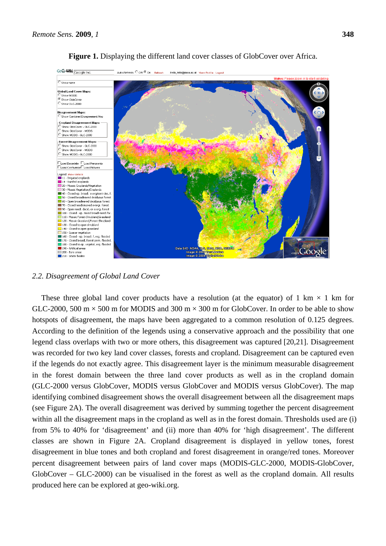

# **Figure 1.** Displaying the different land cover classes of GlobCover over Africa.

# *2.2. Disagreement of Global Land Cover*

These three global land cover products have a resolution (at the equator) of 1 km  $\times$  1 km for GLC-2000, 500 m  $\times$  500 m for MODIS and 300 m  $\times$  300 m for GlobCover. In order to be able to show hotspots of disagreement, the maps have been aggregated to a common resolution of 0.125 degrees. According to the definition of the legends using a conservative approach and the possibility that one legend class overlaps with two or more others, this disagreement was captured [20,21]. Disagreement was recorded for two key land cover classes, forests and cropland. Disagreement can be captured even if the legends do not exactly agree. This disagreement layer is the minimum measurable disagreement in the forest domain between the three land cover products as well as in the cropland domain (GLC-2000 versus GlobCover, MODIS versus GlobCover and MODIS versus GlobCover). The map identifying combined disagreement shows the overall disagreement between all the disagreement maps (see Figure 2A). The overall disagreement was derived by summing together the percent disagreement within all the disagreement maps in the cropland as well as in the forest domain. Thresholds used are (i) from 5% to 40% for 'disagreement' and (ii) more than 40% for 'high disagreement'. The different classes are shown in Figure 2A. Cropland disagreement is displayed in yellow tones, forest disagreement in blue tones and both cropland and forest disagreement in orange/red tones. Moreover percent disagreement between pairs of land cover maps (MODIS-GLC-2000, MODIS-GlobCover, GlobCover – GLC-2000) can be visualised in the forest as well as the cropland domain. All results produced here can be explored at geo-wiki.org.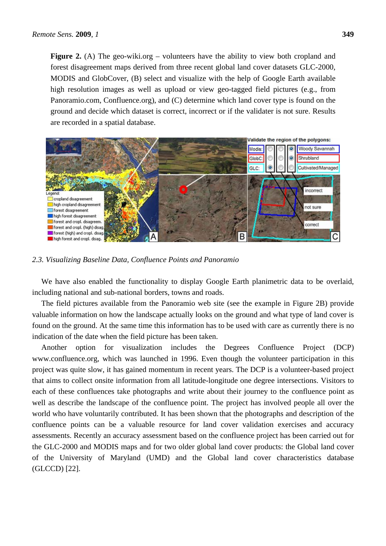**Figure 2.** (A) The geo-wiki.org – volunteers have the ability to view both cropland and forest disagreement maps derived from three recent global land cover datasets GLC-2000, MODIS and GlobCover, (B) select and visualize with the help of Google Earth available high resolution images as well as upload or view geo-tagged field pictures (e.g., from Panoramio.com, Confluence.org), and (C) determine which land cover type is found on the ground and decide which dataset is correct, incorrect or if the validater is not sure. Results are recorded in a spatial database.



*2.3. Visualizing Baseline Data, Confluence Points and Panoramio* 

We have also enabled the functionality to display Google Earth planimetric data to be overlaid, including national and sub-national borders, towns and roads.

The field pictures available from the Panoramio web site (see the example in Figure 2B) provide valuable information on how the landscape actually looks on the ground and what type of land cover is found on the ground. At the same time this information has to be used with care as currently there is no indication of the date when the field picture has been taken.

Another option for visualization includes the Degrees Confluence Project (DCP) www.confluence.org, which was launched in 1996. Even though the volunteer participation in this project was quite slow, it has gained momentum in recent years. The DCP is a volunteer-based project that aims to collect onsite information from all latitude-longitude one degree intersections. Visitors to each of these confluences take photographs and write about their journey to the confluence point as well as describe the landscape of the confluence point. The project has involved people all over the world who have voluntarily contributed. It has been shown that the photographs and description of the confluence points can be a valuable resource for land cover validation exercises and accuracy assessments. Recently an accuracy assessment based on the confluence project has been carried out for the GLC-2000 and MODIS maps and for two older global land cover products: the Global land cover of the University of Maryland (UMD) and the Global land cover characteristics database (GLCCD) [22].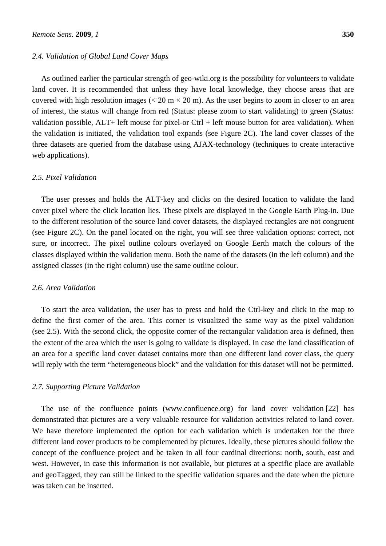#### *2.4. Validation of Global Land Cover Maps*

As outlined earlier the particular strength of geo-wiki.org is the possibility for volunteers to validate land cover. It is recommended that unless they have local knowledge, they choose areas that are covered with high resolution images ( $\lt 20$  m  $\times 20$  m). As the user begins to zoom in closer to an area of interest, the status will change from red (Status: please zoom to start validating) to green (Status: validation possible, ALT+ left mouse for pixel-or Ctrl + left mouse button for area validation). When the validation is initiated, the validation tool expands (see Figure 2C). The land cover classes of the three datasets are queried from the database using AJAX-technology (techniques to create interactive web applications).

## *2.5. Pixel Validation*

The user presses and holds the ALT-key and clicks on the desired location to validate the land cover pixel where the click location lies. These pixels are displayed in the Google Earth Plug-in. Due to the different resolution of the source land cover datasets, the displayed rectangles are not congruent (see Figure 2C). On the panel located on the right, you will see three validation options: correct, not sure, or incorrect. The pixel outline colours overlayed on Google Eerth match the colours of the classes displayed within the validation menu. Both the name of the datasets (in the left column) and the assigned classes (in the right column) use the same outline colour.

## *2.6. Area Validation*

To start the area validation, the user has to press and hold the Ctrl-key and click in the map to define the first corner of the area. This corner is visualized the same way as the pixel validation (see 2.5). With the second click, the opposite corner of the rectangular validation area is defined, then the extent of the area which the user is going to validate is displayed. In case the land classification of an area for a specific land cover dataset contains more than one different land cover class, the query will reply with the term "heterogeneous block" and the validation for this dataset will not be permitted.

## *2.7. Supporting Picture Validation*

The use of the confluence points (www.confluence.org) for land cover validation [22] has demonstrated that pictures are a very valuable resource for validation activities related to land cover. We have therefore implemented the option for each validation which is undertaken for the three different land cover products to be complemented by pictures. Ideally, these pictures should follow the concept of the confluence project and be taken in all four cardinal directions: north, south, east and west. However, in case this information is not available, but pictures at a specific place are available and geoTagged, they can still be linked to the specific validation squares and the date when the picture was taken can be inserted.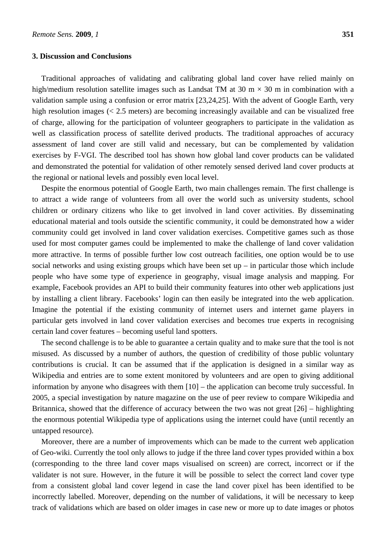#### **3. Discussion and Conclusions**

Traditional approaches of validating and calibrating global land cover have relied mainly on high/medium resolution satellite images such as Landsat TM at 30 m  $\times$  30 m in combination with a validation sample using a confusion or error matrix [23,24,25]. With the advent of Google Earth, very high resolution images ( $\leq 2.5$  meters) are becoming increasingly available and can be visualized free of charge, allowing for the participation of volunteer geographers to participate in the validation as well as classification process of satellite derived products. The traditional approaches of accuracy assessment of land cover are still valid and necessary, but can be complemented by validation exercises by F-VGI. The described tool has shown how global land cover products can be validated and demonstrated the potential for validation of other remotely sensed derived land cover products at the regional or national levels and possibly even local level.

Despite the enormous potential of Google Earth, two main challenges remain. The first challenge is to attract a wide range of volunteers from all over the world such as university students, school children or ordinary citizens who like to get involved in land cover activities. By disseminating educational material and tools outside the scientific community, it could be demonstrated how a wider community could get involved in land cover validation exercises. Competitive games such as those used for most computer games could be implemented to make the challenge of land cover validation more attractive. In terms of possible further low cost outreach facilities, one option would be to use social networks and using existing groups which have been set up – in particular those which include people who have some type of experience in geography, visual image analysis and mapping. For example, Facebook provides an API to build their community features into other web applications just by installing a client library. Facebooks' login can then easily be integrated into the web application. Imagine the potential if the existing community of internet users and internet game players in particular gets involved in land cover validation exercises and becomes true experts in recognising certain land cover features – becoming useful land spotters.

The second challenge is to be able to guarantee a certain quality and to make sure that the tool is not misused. As discussed by a number of authors, the question of credibility of those public voluntary contributions is crucial. It can be assumed that if the application is designed in a similar way as Wikipedia and entries are to some extent monitored by volunteers and are open to giving additional information by anyone who disagrees with them [10] – the application can become truly successful. In 2005, a special investigation by nature magazine on the use of peer review to compare Wikipedia and Britannica, showed that the difference of accuracy between the two was not great [26] – highlighting the enormous potential Wikipedia type of applications using the internet could have (until recently an untapped resource).

Moreover, there are a number of improvements which can be made to the current web application of Geo-wiki. Currently the tool only allows to judge if the three land cover types provided within a box (corresponding to the three land cover maps visualised on screen) are correct, incorrect or if the validater is not sure. However, in the future it will be possible to select the correct land cover type from a consistent global land cover legend in case the land cover pixel has been identified to be incorrectly labelled. Moreover, depending on the number of validations, it will be necessary to keep track of validations which are based on older images in case new or more up to date images or photos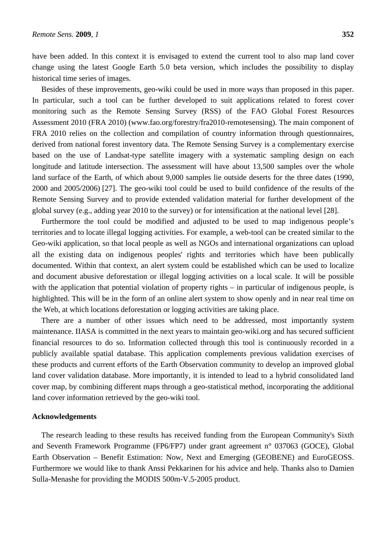have been added. In this context it is envisaged to extend the current tool to also map land cover change using the latest Google Earth 5.0 beta version, which includes the possibility to display historical time series of images.

Besides of these improvements, geo-wiki could be used in more ways than proposed in this paper. In particular, such a tool can be further developed to suit applications related to forest cover monitoring such as the Remote Sensing Survey (RSS) of the FAO Global Forest Resources Assessment 2010 (FRA 2010) (www.fao.org/forestry/fra2010-remotesensing). The main component of FRA 2010 relies on the collection and compilation of country information through questionnaires, derived from national forest inventory data. The Remote Sensing Survey is a complementary exercise based on the use of Landsat-type satellite imagery with a systematic sampling design on each longitude and latitude intersection. The assessment will have about 13,500 samples over the whole land surface of the Earth, of which about 9,000 samples lie outside deserts for the three dates (1990, 2000 and 2005/2006) [27]. The geo-wiki tool could be used to build confidence of the results of the Remote Sensing Survey and to provide extended validation material for further development of the global survey (e.g., adding year 2010 to the survey) or for intensification at the national level [28].

Furthermore the tool could be modified and adjusted to be used to map indigenous people's territories and to locate illegal logging activities. For example, a web-tool can be created similar to the Geo-wiki application, so that local people as well as NGOs and international organizations can upload all the existing data on indigenous peoples' rights and territories which have been publically documented. Within that context, an alert system could be established which can be used to localize and document abusive deforestation or illegal logging activities on a local scale. It will be possible with the application that potential violation of property rights – in particular of indigenous people, is highlighted. This will be in the form of an online alert system to show openly and in near real time on the Web, at which locations deforestation or logging activities are taking place.

There are a number of other issues which need to be addressed, most importantly system maintenance. IIASA is committed in the next years to maintain geo-wiki.org and has secured sufficient financial resources to do so. Information collected through this tool is continuously recorded in a publicly available spatial database. This application complements previous validation exercises of these products and current efforts of the Earth Observation community to develop an improved global land cover validation database. More importantly, it is intended to lead to a hybrid consolidated land cover map, by combining different maps through a geo-statistical method, incorporating the additional land cover information retrieved by the geo-wiki tool.

## **Acknowledgements**

The research leading to these results has received funding from the European Community's Sixth and Seventh Framework Programme (FP6/FP7) under grant agreement n° 037063 (GOCE), Global Earth Observation – Benefit Estimation: Now, Next and Emerging (GEOBENE) and EuroGEOSS. Furthermore we would like to thank Anssi Pekkarinen for his advice and help. Thanks also to Damien Sulla-Menashe for providing the MODIS 500m-V.5-2005 product.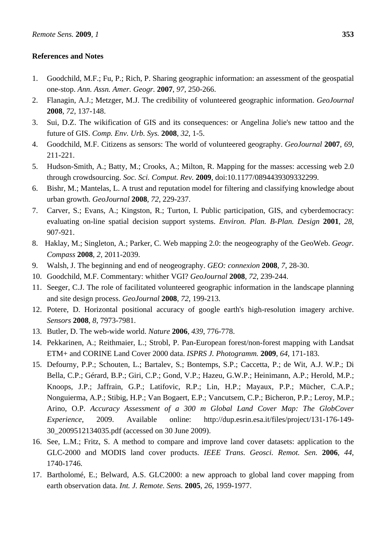# **References and Notes**

- 1. Goodchild, M.F.; Fu, P.; Rich, P. Sharing geographic information: an assessment of the geospatial one-stop. *Ann. Assn. Amer. Geogr.* **2007**, *97*, 250-266.
- 2. Flanagin, A.J.; Metzger, M.J. The credibility of volunteered geographic information. *GeoJournal*  **2008**, *72*, 137-148.
- 3. Sui, D.Z. The wikification of GIS and its consequences: or Angelina Jolie's new tattoo and the future of GIS. *Comp. Env. Urb. Sys.* **2008**, *32*, 1-5.
- 4. Goodchild, M.F. Citizens as sensors: The world of volunteered geography. *GeoJournal* **2007**, *69*, 211-221.
- 5. Hudson-Smith, A.; Batty, M.; Crooks, A.; Milton, R. Mapping for the masses: accessing web 2.0 through crowdsourcing. *Soc. Sci. Comput. Rev.* **2009**, doi:10.1177/0894439309332299.
- 6. Bishr, M.; Mantelas, L. A trust and reputation model for filtering and classifying knowledge about urban growth. *GeoJournal* **2008**, *72*, 229-237.
- 7. Carver, S.; Evans, A.; Kingston, R.; Turton, I. Public participation, GIS, and cyberdemocracy: evaluating on-line spatial decision support systems. *Environ. Plan. B-Plan. Design* **2001**, *28*, 907-921.
- 8. Haklay, M.; Singleton, A.; Parker, C. Web mapping 2.0: the neogeography of the GeoWeb. *Geogr. Compass* **2008**, *2*, 2011-2039.
- 9. Walsh, J. The beginning and end of neogeography. *GEO: connexion* **2008**, *7*, 28-30.
- 10. Goodchild, M.F. Commentary: whither VGI? *GeoJournal* **2008**, *72*, 239-244.
- 11. Seeger, C.J. The role of facilitated volunteered geographic information in the landscape planning and site design process. *GeoJournal* **2008**, *72*, 199-213.
- 12. Potere, D. Horizontal positional accuracy of google earth's high-resolution imagery archive. *Sensors* **2008**, *8*, 7973-7981.
- 13. Butler, D. The web-wide world. *Nature* **2006**, *439*, 776-778.
- 14. Pekkarinen, A.; Reithmaier, L.; Strobl, P. Pan-European forest/non-forest mapping with Landsat ETM+ and CORINE Land Cover 2000 data. *ISPRS J. Photogramm.* **2009**, *64*, 171-183.
- 15. Defourny, P.P.; Schouten, L.; Bartalev, S.; Bontemps, S.P.; Caccetta, P.; de Wit, A.J. W.P.; Di Bella, C.P.; Gérard, B.P.; Giri, C.P.; Gond, V.P.; Hazeu, G.W.P.; Heinimann, A.P.; Herold, M.P.; Knoops, J.P.; Jaffrain, G.P.; Latifovic, R.P.; Lin, H.P.; Mayaux, P.P.; Mücher, C.A.P.; Nonguierma, A.P.; Stibig, H.P.; Van Bogaert, E.P.; Vancutsem, C.P.; Bicheron, P.P.; Leroy, M.P.; Arino, O.P. *Accuracy Assessment of a 300 m Global Land Cover Map: The GlobCover Experience*, 2009. Available online: http://dup.esrin.esa.it/files/project/131-176-149- 30\_2009512134035.pdf (accessed on 30 June 2009).
- 16. See, L.M.; Fritz, S. A method to compare and improve land cover datasets: application to the GLC-2000 and MODIS land cover products. *IEEE Trans. Geosci. Remot. Sen.* **2006**, *44*, 1740-1746.
- 17. Bartholomé, E.; Belward, A.S. GLC2000: a new approach to global land cover mapping from earth observation data. *Int. J. Remote. Sens.* **2005**, *26*, 1959-1977.